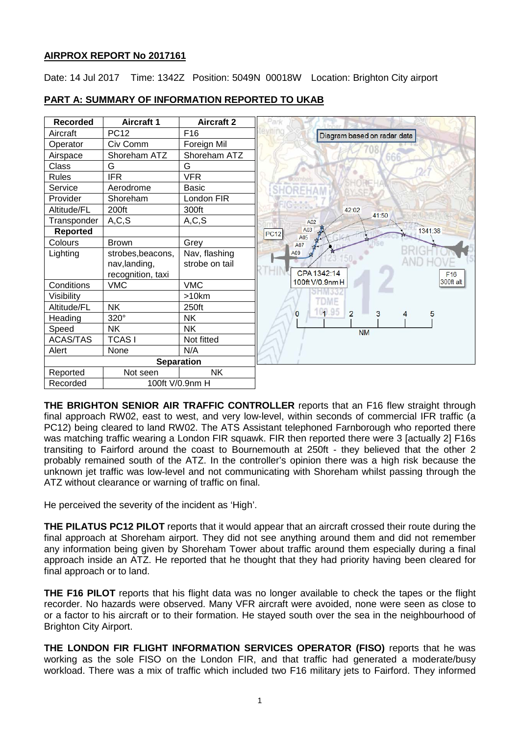# **AIRPROX REPORT No 2017161**

Date: 14 Jul 2017 Time: 1342Z Position: 5049N 00018W Location: Brighton City airport



# **PART A: SUMMARY OF INFORMATION REPORTED TO UKAB**

**THE BRIGHTON SENIOR AIR TRAFFIC CONTROLLER** reports that an F16 flew straight through final approach RW02, east to west, and very low-level, within seconds of commercial IFR traffic (a PC12) being cleared to land RW02. The ATS Assistant telephoned Farnborough who reported there was matching traffic wearing a London FIR squawk. FIR then reported there were 3 [actually 2] F16s transiting to Fairford around the coast to Bournemouth at 250ft - they believed that the other 2 probably remained south of the ATZ. In the controller's opinion there was a high risk because the unknown jet traffic was low-level and not communicating with Shoreham whilst passing through the ATZ without clearance or warning of traffic on final.

He perceived the severity of the incident as 'High'.

**THE PILATUS PC12 PILOT** reports that it would appear that an aircraft crossed their route during the final approach at Shoreham airport. They did not see anything around them and did not remember any information being given by Shoreham Tower about traffic around them especially during a final approach inside an ATZ. He reported that he thought that they had priority having been cleared for final approach or to land.

**THE F16 PILOT** reports that his flight data was no longer available to check the tapes or the flight recorder. No hazards were observed. Many VFR aircraft were avoided, none were seen as close to or a factor to his aircraft or to their formation. He stayed south over the sea in the neighbourhood of Brighton City Airport.

**THE LONDON FIR FLIGHT INFORMATION SERVICES OPERATOR (FISO)** reports that he was working as the sole FISO on the London FIR, and that traffic had generated a moderate/busy workload. There was a mix of traffic which included two F16 military jets to Fairford. They informed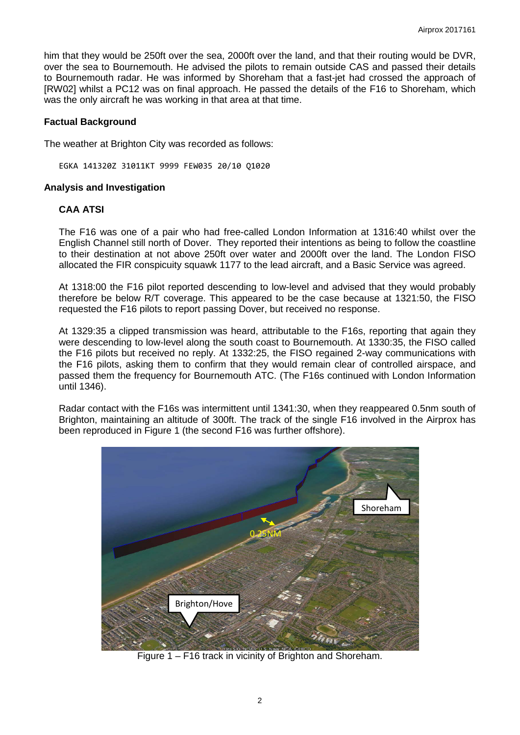him that they would be 250ft over the sea, 2000ft over the land, and that their routing would be DVR, over the sea to Bournemouth. He advised the pilots to remain outside CAS and passed their details to Bournemouth radar. He was informed by Shoreham that a fast-jet had crossed the approach of [RW02] whilst a PC12 was on final approach. He passed the details of the F16 to Shoreham, which was the only aircraft he was working in that area at that time.

## **Factual Background**

The weather at Brighton City was recorded as follows:

EGKA 141320Z 31011KT 9999 FEW035 20/10 Q1020

#### **Analysis and Investigation**

## **CAA ATSI**

The F16 was one of a pair who had free-called London Information at 1316:40 whilst over the English Channel still north of Dover. They reported their intentions as being to follow the coastline to their destination at not above 250ft over water and 2000ft over the land. The London FISO allocated the FIR conspicuity squawk 1177 to the lead aircraft, and a Basic Service was agreed.

At 1318:00 the F16 pilot reported descending to low-level and advised that they would probably therefore be below R/T coverage. This appeared to be the case because at 1321:50, the FISO requested the F16 pilots to report passing Dover, but received no response.

At 1329:35 a clipped transmission was heard, attributable to the F16s, reporting that again they were descending to low-level along the south coast to Bournemouth. At 1330:35, the FISO called the F16 pilots but received no reply. At 1332:25, the FISO regained 2-way communications with the F16 pilots, asking them to confirm that they would remain clear of controlled airspace, and passed them the frequency for Bournemouth ATC. (The F16s continued with London Information until 1346).

Radar contact with the F16s was intermittent until 1341:30, when they reappeared 0.5nm south of Brighton, maintaining an altitude of 300ft. The track of the single F16 involved in the Airprox has been reproduced in Figure 1 (the second F16 was further offshore).



Figure 1 – F16 track in vicinity of Brighton and Shoreham.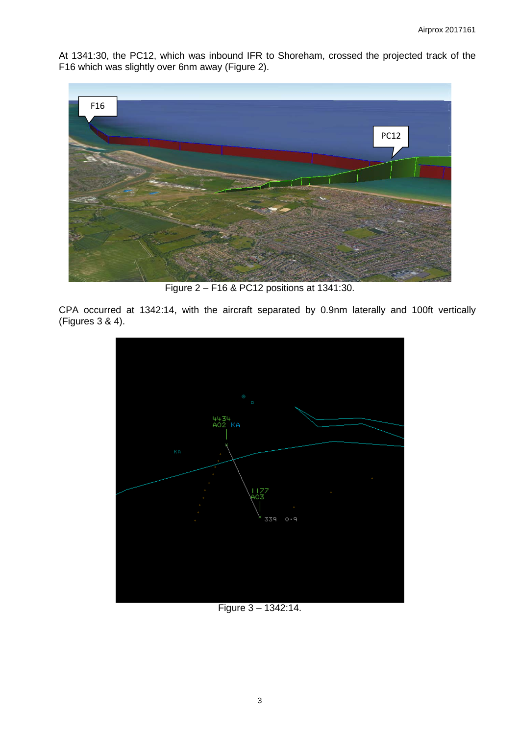At 1341:30, the PC12, which was inbound IFR to Shoreham, crossed the projected track of the F16 which was slightly over 6nm away (Figure 2).



Figure 2 – F16 & PC12 positions at 1341:30.

CPA occurred at 1342:14, with the aircraft separated by 0.9nm laterally and 100ft vertically (Figures 3 & 4).



Figure 3 – 1342:14.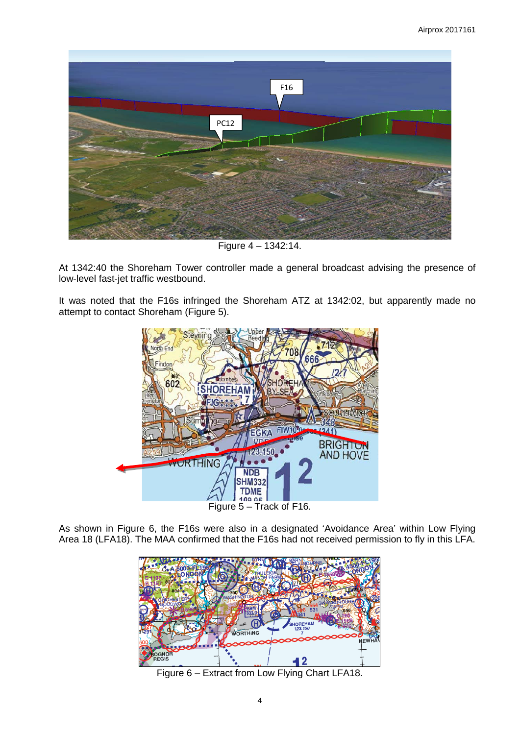

Figure 4 – 1342:14.

At 1342:40 the Shoreham Tower controller made a general broadcast advising the presence of low-level fast-jet traffic westbound.

It was noted that the F16s infringed the Shoreham ATZ at 1342:02, but apparently made no attempt to contact Shoreham (Figure 5).



As shown in Figure 6, the F16s were also in a designated 'Avoidance Area' within Low Flying Area 18 (LFA18). The MAA confirmed that the F16s had not received permission to fly in this LFA.



Figure 6 – Extract from Low Flying Chart LFA18.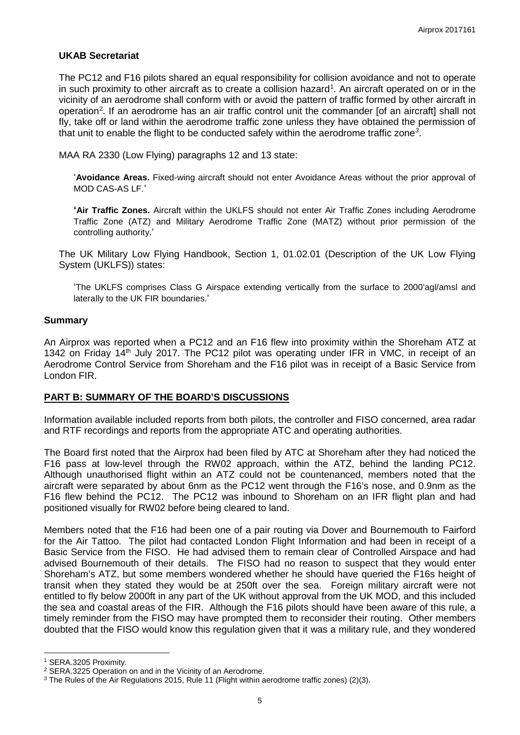## **UKAB Secretariat**

The PC12 and F16 pilots shared an equal responsibility for collision avoidance and not to operate in such proximity to other aircraft as to create a collision hazard<sup>[1](#page-4-0)</sup>. An aircraft operated on or in the vicinity of an aerodrome shall conform with or avoid the pattern of traffic formed by other aircraft in operation<sup>[2](#page-4-1)</sup>. If an aerodrome has an air traffic control unit the commander [of an aircraft] shall not fly, take off or land within the aerodrome traffic zone unless they have obtained the permission of that unit to enable the flight to be conducted safely within the aerodrome traffic zone*[3](#page-4-2)* .

MAA RA 2330 (Low Flying) paragraphs 12 and 13 state:

'**Avoidance Areas.** Fixed-wing aircraft should not enter Avoidance Areas without the prior approval of MOD CAS-AS LF.'

**'Air Traffic Zones.** Aircraft within the UKLFS should not enter Air Traffic Zones including Aerodrome Traffic Zone (ATZ) and Military Aerodrome Traffic Zone (MATZ) without prior permission of the controlling authority.'

The UK Military Low Flying Handbook, Section 1, 01.02.01 (Description of the UK Low Flying System (UKLFS)) states:

'The UKLFS comprises Class G Airspace extending vertically from the surface to 2000'agl/amsl and laterally to the UK FIR boundaries.'

## **Summary**

An Airprox was reported when a PC12 and an F16 flew into proximity within the Shoreham ATZ at 1342 on Friday 14<sup>th</sup> July 2017. The PC12 pilot was operating under IFR in VMC, in receipt of an Aerodrome Control Service from Shoreham and the F16 pilot was in receipt of a Basic Service from London FIR.

## **PART B: SUMMARY OF THE BOARD'S DISCUSSIONS**

Information available included reports from both pilots, the controller and FISO concerned, area radar and RTF recordings and reports from the appropriate ATC and operating authorities.

The Board first noted that the Airprox had been filed by ATC at Shoreham after they had noticed the F16 pass at low-level through the RW02 approach, within the ATZ, behind the landing PC12. Although unauthorised flight within an ATZ could not be countenanced, members noted that the aircraft were separated by about 6nm as the PC12 went through the F16's nose, and 0.9nm as the F16 flew behind the PC12. The PC12 was inbound to Shoreham on an IFR flight plan and had positioned visually for RW02 before being cleared to land.

Members noted that the F16 had been one of a pair routing via Dover and Bournemouth to Fairford for the Air Tattoo. The pilot had contacted London Flight Information and had been in receipt of a Basic Service from the FISO. He had advised them to remain clear of Controlled Airspace and had advised Bournemouth of their details. The FISO had no reason to suspect that they would enter Shoreham's ATZ, but some members wondered whether he should have queried the F16s height of transit when they stated they would be at 250ft over the sea. Foreign military aircraft were not entitled to fly below 2000ft in any part of the UK without approval from the UK MOD, and this included the sea and coastal areas of the FIR. Although the F16 pilots should have been aware of this rule, a timely reminder from the FISO may have prompted them to reconsider their routing. Other members doubted that the FISO would know this regulation given that it was a military rule, and they wondered

 $\overline{\phantom{a}}$ 

<span id="page-4-0"></span><sup>1</sup> SERA.3205 Proximity.

<span id="page-4-1"></span><sup>2</sup> SERA.3225 Operation on and in the Vicinity of an Aerodrome.

<span id="page-4-2"></span><sup>&</sup>lt;sup>3</sup> The Rules of the Air Regulations 2015, Rule 11 (Flight within aerodrome traffic zones) (2)(3).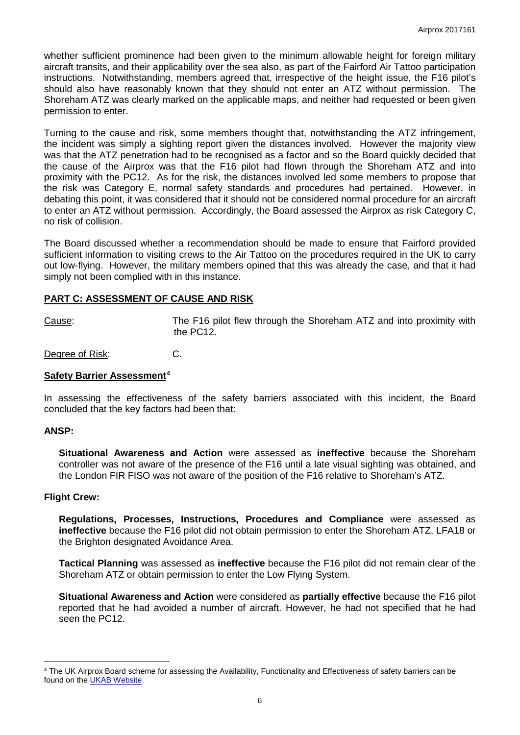whether sufficient prominence had been given to the minimum allowable height for foreign military aircraft transits, and their applicability over the sea also, as part of the Fairford Air Tattoo participation instructions. Notwithstanding, members agreed that, irrespective of the height issue, the F16 pilot's should also have reasonably known that they should not enter an ATZ without permission. The Shoreham ATZ was clearly marked on the applicable maps, and neither had requested or been given permission to enter.

Turning to the cause and risk, some members thought that, notwithstanding the ATZ infringement, the incident was simply a sighting report given the distances involved. However the majority view was that the ATZ penetration had to be recognised as a factor and so the Board quickly decided that the cause of the Airprox was that the F16 pilot had flown through the Shoreham ATZ and into proximity with the PC12. As for the risk, the distances involved led some members to propose that the risk was Category E, normal safety standards and procedures had pertained. However, in debating this point, it was considered that it should not be considered normal procedure for an aircraft to enter an ATZ without permission. Accordingly, the Board assessed the Airprox as risk Category C, no risk of collision.

The Board discussed whether a recommendation should be made to ensure that Fairford provided sufficient information to visiting crews to the Air Tattoo on the procedures required in the UK to carry out low-flying. However, the military members opined that this was already the case, and that it had simply not been complied with in this instance.

## **PART C: ASSESSMENT OF CAUSE AND RISK**

Cause: The F16 pilot flew through the Shoreham ATZ and into proximity with the PC12.

Degree of Risk: C.

#### **Safety Barrier Assessment[4](#page-5-0)**

In assessing the effectiveness of the safety barriers associated with this incident, the Board concluded that the key factors had been that:

#### **ANSP:**

l

**Situational Awareness and Action** were assessed as **ineffective** because the Shoreham controller was not aware of the presence of the F16 until a late visual sighting was obtained, and the London FIR FISO was not aware of the position of the F16 relative to Shoreham's ATZ.

#### **Flight Crew:**

**Regulations, Processes, Instructions, Procedures and Compliance** were assessed as **ineffective** because the F16 pilot did not obtain permission to enter the Shoreham ATZ, LFA18 or the Brighton designated Avoidance Area.

**Tactical Planning** was assessed as **ineffective** because the F16 pilot did not remain clear of the Shoreham ATZ or obtain permission to enter the Low Flying System.

**Situational Awareness and Action** were considered as **partially effective** because the F16 pilot reported that he had avoided a number of aircraft. However, he had not specified that he had seen the PC12.

<span id="page-5-0"></span><sup>4</sup> The UK Airprox Board scheme for assessing the Availability, Functionality and Effectiveness of safety barriers can be found on the **UKAB Website**.